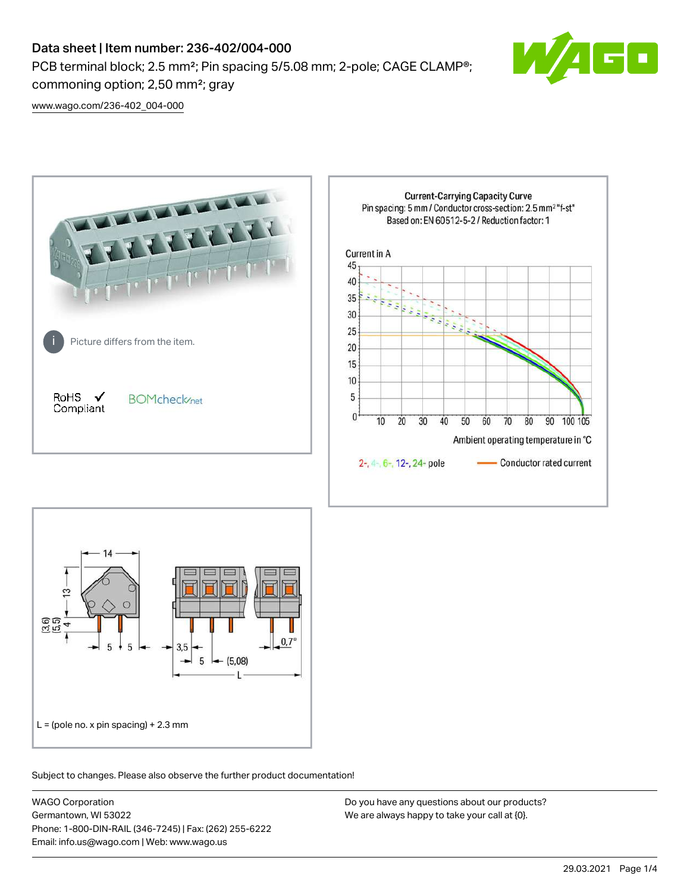# Data sheet | Item number: 236-402/004-000

PCB terminal block; 2.5 mm<sup>2</sup>; Pin spacing 5/5.08 mm; 2-pole; CAGE CLAMP<sup>®</sup>; commoning option; 2,50 mm²; gray



[www.wago.com/236-402\\_004-000](http://www.wago.com/236-402_004-000)





Subject to changes. Please also observe the further product documentation!

WAGO Corporation Germantown, WI 53022 Phone: 1-800-DIN-RAIL (346-7245) | Fax: (262) 255-6222 Email: info.us@wago.com | Web: www.wago.us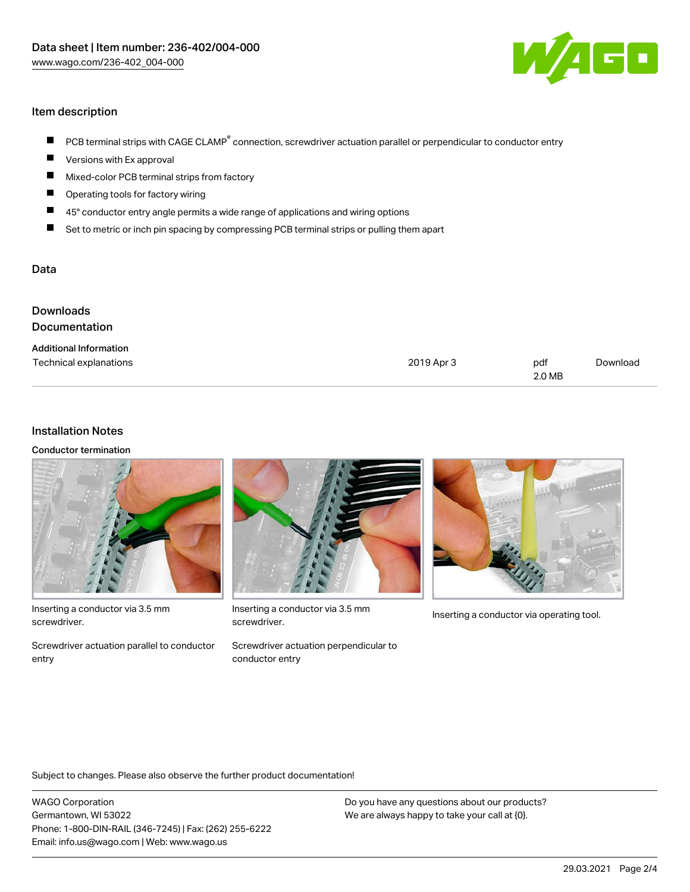

## Item description

- PCB terminal strips with CAGE CLAMP<sup>®</sup> connection, screwdriver actuation parallel or perpendicular to conductor entry  $\blacksquare$
- Versions with Ex approval П
- $\blacksquare$ Mixed-color PCB terminal strips from factory
- $\blacksquare$ Operating tools for factory wiring
- $\blacksquare$ 45° conductor entry angle permits a wide range of applications and wiring options
- П Set to metric or inch pin spacing by compressing PCB terminal strips or pulling them apart

#### Data

| <b>Downloads</b><br>Documentation                       |            |               |          |
|---------------------------------------------------------|------------|---------------|----------|
| <b>Additional Information</b><br>Technical explanations | 2019 Apr 3 | pdf<br>2.0 MB | Download |

#### Installation Notes

Conductor termination



Inserting a conductor via 3.5 mm screwdriver.

Screwdriver actuation parallel to conductor entry



Inserting a conductor via 3.5 mm<br>Inserting a conductor via operating tool. screwdriver.

Screwdriver actuation perpendicular to conductor entry



Subject to changes. Please also observe the further product documentation!

WAGO Corporation Germantown, WI 53022 Phone: 1-800-DIN-RAIL (346-7245) | Fax: (262) 255-6222 Email: info.us@wago.com | Web: www.wago.us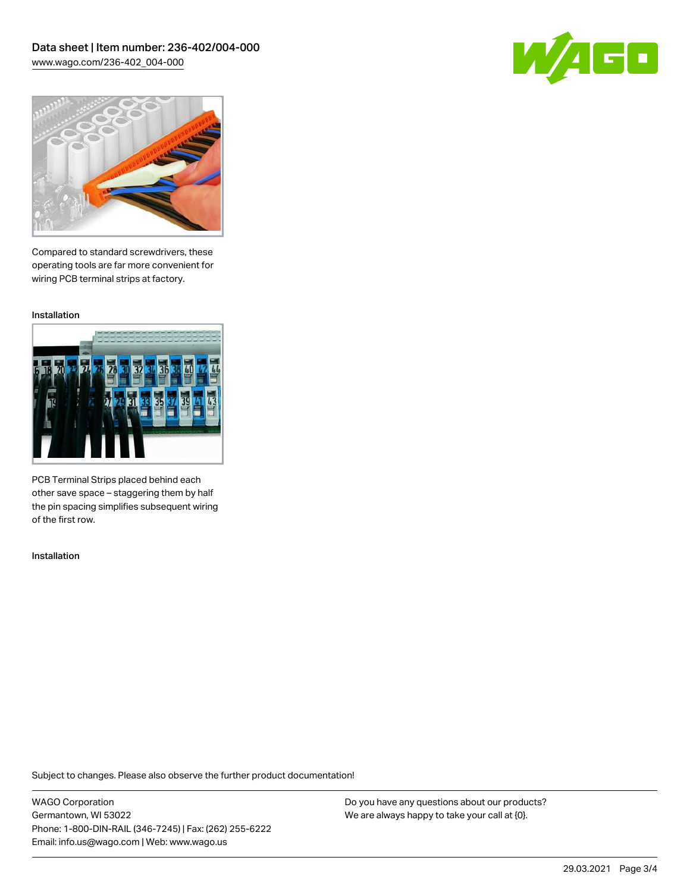Data sheet | Item number: 236-402/004-000 [www.wago.com/236-402\\_004-000](http://www.wago.com/236-402_004-000)





Compared to standard screwdrivers, these operating tools are far more convenient for wiring PCB terminal strips at factory.

Installation



PCB Terminal Strips placed behind each other save space – staggering them by half the pin spacing simplifies subsequent wiring of the first row.

Installation

Subject to changes. Please also observe the further product documentation!

WAGO Corporation Germantown, WI 53022 Phone: 1-800-DIN-RAIL (346-7245) | Fax: (262) 255-6222 Email: info.us@wago.com | Web: www.wago.us